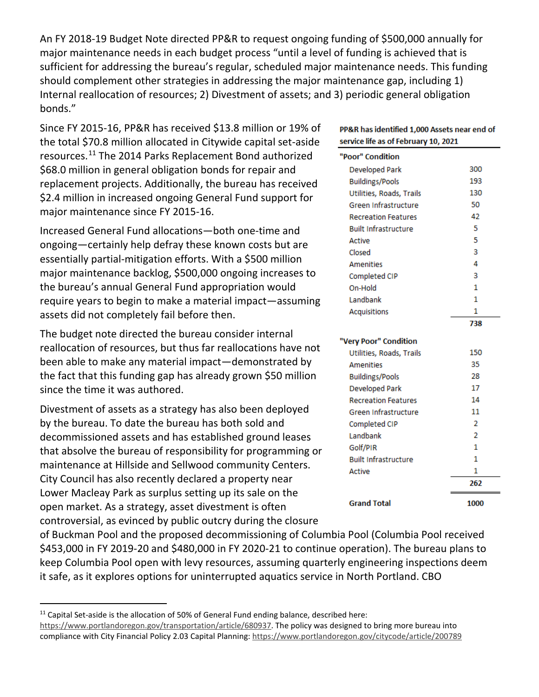An FY 2018-19 Budget Note directed PP&R to request ongoing funding of \$500,000 annually for major maintenance needs in each budget process "until a level of funding is achieved that is sufficient for addressing the bureau's regular, scheduled major maintenance needs. This funding should complement other strategies in addressing the major maintenance gap, including 1) Internal reallocation of resources; 2) Divestment of assets; and 3) periodic general obligation bonds."

Since FY 2015-16, PP&R has received \$13.8 million or 19% of the total \$70.8 million allocated in Citywide capital set-aside resources.[11](#page-10-0) The 2014 Parks Replacement Bond authorized \$68.0 million in general obligation bonds for repair and replacement projects. Additionally, the bureau has received \$2.4 million in increased ongoing General Fund support for major maintenance since FY 2015-16.

Increased General Fund allocations—both one-time and ongoing—certainly help defray these known costs but are essentially partial-mitigation efforts. With a \$500 million major maintenance backlog, \$500,000 ongoing increases to the bureau's annual General Fund appropriation would require years to begin to make a material impact—assuming assets did not completely fail before then.

The budget note directed the bureau consider internal reallocation of resources, but thus far reallocations have not been able to make any material impact—demonstrated by the fact that this funding gap has already grown \$50 million since the time it was authored.

Divestment of assets as a strategy has also been deployed by the bureau. To date the bureau has both sold and decommissioned assets and has established ground leases that absolve the bureau of responsibility for programming or maintenance at Hillside and Sellwood community Centers. City Council has also recently declared a property near Lower Macleay Park as surplus setting up its sale on the open market. As a strategy, asset divestment is often controversial, as evinced by public outcry during the closure

| PP&R has identified 1,000 Assets near end of<br>service life as of February 10, 2021 |      |
|--------------------------------------------------------------------------------------|------|
| "Poor" Condition                                                                     |      |
| Developed Park                                                                       | 300  |
| <b>Buildings/Pools</b>                                                               | 193  |
| Utilities, Roads, Trails                                                             | 130  |
| Green Infrastructure                                                                 | 50   |
| <b>Recreation Features</b>                                                           | 42   |
| <b>Built Infrastructure</b>                                                          | 5    |
| Active                                                                               | 5    |
| Closed                                                                               | 3    |
| <b>Amenities</b>                                                                     | 4    |
| Completed CIP                                                                        | 3    |
| On-Hold                                                                              | 1    |
| Landbank                                                                             | 1    |
| <b>Acquisitions</b>                                                                  | 1    |
|                                                                                      | 738  |
| "Very Poor" Condition                                                                |      |
| Utilities, Roads, Trails                                                             | 150  |
| <b>Amenities</b>                                                                     | 35   |
| <b>Buildings/Pools</b>                                                               | 28   |
| <b>Developed Park</b>                                                                | 17   |
| <b>Recreation Features</b>                                                           | 14   |
| Green Infrastructure                                                                 | 11   |
| Completed CIP                                                                        | 2    |
| Landbank                                                                             | 2    |
| Golf/PIR                                                                             | 1    |
| <b>Built Infrastructure</b>                                                          | 1    |
| Active                                                                               | 1    |
|                                                                                      | 262  |
| <b>Grand Total</b>                                                                   | 1000 |

of Buckman Pool and the proposed decommissioning of Columbia Pool (Columbia Pool received \$453,000 in FY 2019-20 and \$480,000 in FY 2020-21 to continue operation). The bureau plans to keep Columbia Pool open with levy resources, assuming quarterly engineering inspections deem it safe, as it explores options for uninterrupted aquatics service in North Portland. CBO

<span id="page-10-0"></span><sup>&</sup>lt;sup>11</sup> Capital Set-aside is the allocation of 50% of General Fund ending balance, described here: [https://www.portlandoregon.gov/transportation/article/680937.](https://www.portlandoregon.gov/transportation/article/680937) The policy was designed to bring more bureau into compliance with City Financial Policy 2.03 Capital Planning: https://www.portlandoregon.gov/citycode/article/200789